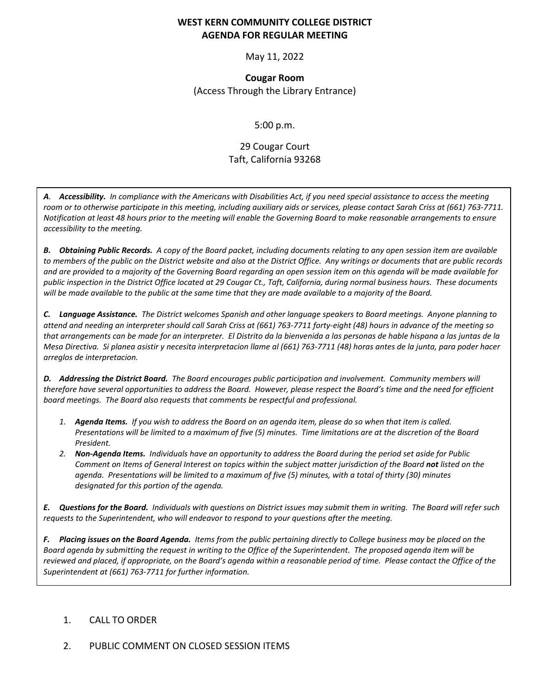#### **WEST KERN COMMUNITY COLLEGE DISTRICT AGENDA FOR REGULAR MEETING**

May 11, 2022

**Cougar Room** (Access Through the Library Entrance)

5:00 p.m.

# 29 Cougar Court Taft, California 93268

*A. Accessibility. In compliance with the Americans with Disabilities Act, if you need special assistance to access the meeting room or to otherwise participate in this meeting, including auxiliary aids or services, please contact Sarah Criss at (661) 763-7711. Notification at least 48 hours prior to the meeting will enable the Governing Board to make reasonable arrangements to ensure accessibility to the meeting.*

*B. Obtaining Public Records. A copy of the Board packet, including documents relating to any open session item are available to members of the public on the District website and also at the District Office. Any writings or documents that are public records and are provided to a majority of the Governing Board regarding an open session item on this agenda will be made available for public inspection in the District Office located at 29 Cougar Ct., Taft, California, during normal business hours. These documents will be made available to the public at the same time that they are made available to a majority of the Board.*

*C. Language Assistance. The District welcomes Spanish and other language speakers to Board meetings. Anyone planning to attend and needing an interpreter should call Sarah Criss at (661) 763-7711 forty-eight (48) hours in advance of the meeting so that arrangements can be made for an interpreter. El Distrito da la bienvenida a las personas de hable hispana a las juntas de la Mesa Directiva. Si planea asistir y necesita interpretacion llame al (661) 763-7711 (48) horas antes de la junta, para poder hacer arreglos de interpretacion.*

*D. Addressing the District Board. The Board encourages public participation and involvement. Community members will therefore have several opportunities to address the Board. However, please respect the Board's time and the need for efficient board meetings. The Board also requests that comments be respectful and professional.*

- *1. Agenda Items. If you wish to address the Board on an agenda item, please do so when that item is called. Presentations will be limited to a maximum of five (5) minutes. Time limitations are at the discretion of the Board President.*
- *2. Non-Agenda Items. Individuals have an opportunity to address the Board during the period set aside for Public Comment on Items of General Interest on topics within the subject matter jurisdiction of the Board not listed on the agenda. Presentations will be limited to a maximum of five (5) minutes, with a total of thirty (30) minutes designated for this portion of the agenda.*

*E. Questions for the Board. Individuals with questions on District issues may submit them in writing. The Board will refer such requests to the Superintendent, who will endeavor to respond to your questions after the meeting.*

*F. Placing issues on the Board Agenda. Items from the public pertaining directly to College business may be placed on the Board agenda by submitting the request in writing to the Office of the Superintendent. The proposed agenda item will be reviewed and placed, if appropriate, on the Board's agenda within a reasonable period of time. Please contact the Office of the Superintendent at (661) 763-7711 for further information.*

#### 1. CALL TO ORDER

#### 2. PUBLIC COMMENT ON CLOSED SESSION ITEMS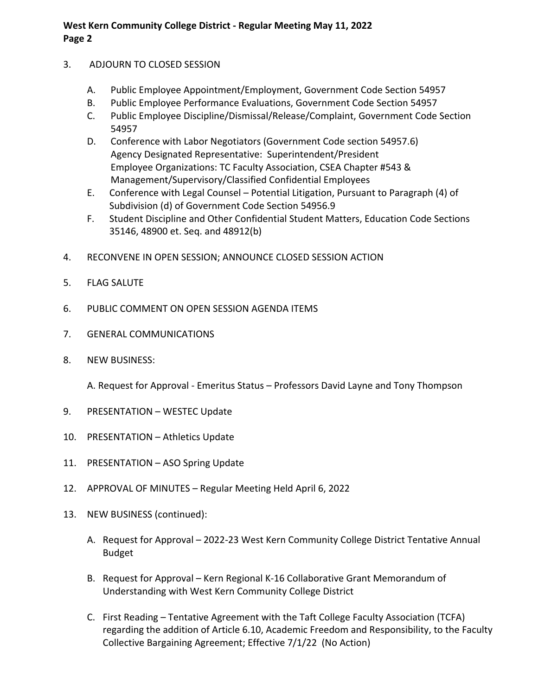#### 3. ADJOURN TO CLOSED SESSION

- A. Public Employee Appointment/Employment, Government Code Section 54957
- B. Public Employee Performance Evaluations, Government Code Section 54957
- C. Public Employee Discipline/Dismissal/Release/Complaint, Government Code Section 54957
- D. Conference with Labor Negotiators (Government Code section 54957.6) Agency Designated Representative: Superintendent/President Employee Organizations: TC Faculty Association, CSEA Chapter #543 & Management/Supervisory/Classified Confidential Employees
- E. Conference with Legal Counsel Potential Litigation, Pursuant to Paragraph (4) of Subdivision (d) of Government Code Section 54956.9
- F. Student Discipline and Other Confidential Student Matters, Education Code Sections 35146, 48900 et. Seq. and 48912(b)
- 4. RECONVENE IN OPEN SESSION; ANNOUNCE CLOSED SESSION ACTION
- 5. FLAG SALUTE
- 6. PUBLIC COMMENT ON OPEN SESSION AGENDA ITEMS
- 7. GENERAL COMMUNICATIONS
- 8. NEW BUSINESS:

A. Request for Approval - Emeritus Status – Professors David Layne and Tony Thompson

- 9. PRESENTATION WESTEC Update
- 10. PRESENTATION Athletics Update
- 11. PRESENTATION ASO Spring Update
- 12. APPROVAL OF MINUTES Regular Meeting Held April 6, 2022
- 13. NEW BUSINESS (continued):
	- A. Request for Approval 2022-23 West Kern Community College District Tentative Annual Budget
	- B. Request for Approval Kern Regional K-16 Collaborative Grant Memorandum of Understanding with West Kern Community College District
	- C. First Reading Tentative Agreement with the Taft College Faculty Association (TCFA) regarding the addition of Article 6.10, Academic Freedom and Responsibility, to the Faculty Collective Bargaining Agreement; Effective 7/1/22 (No Action)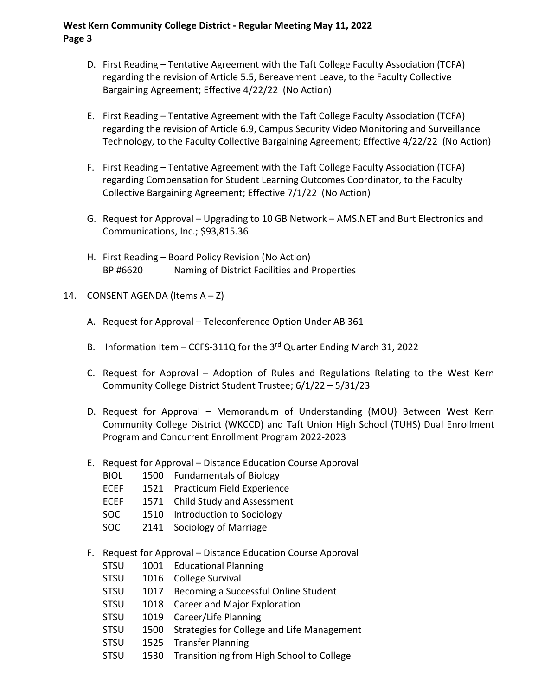- D. First Reading Tentative Agreement with the Taft College Faculty Association (TCFA) regarding the revision of Article 5.5, Bereavement Leave, to the Faculty Collective Bargaining Agreement; Effective 4/22/22 (No Action)
- E. First Reading Tentative Agreement with the Taft College Faculty Association (TCFA) regarding the revision of Article 6.9, Campus Security Video Monitoring and Surveillance Technology, to the Faculty Collective Bargaining Agreement; Effective 4/22/22 (No Action)
- F. First Reading Tentative Agreement with the Taft College Faculty Association (TCFA) regarding Compensation for Student Learning Outcomes Coordinator, to the Faculty Collective Bargaining Agreement; Effective 7/1/22 (No Action)
- G. Request for Approval Upgrading to 10 GB Network AMS.NET and Burt Electronics and Communications, Inc.; \$93,815.36
- H. First Reading Board Policy Revision (No Action) BP #6620 Naming of District Facilities and Properties
- 14. CONSENT AGENDA (Items A Z)
	- A. Request for Approval Teleconference Option Under AB 361
	- B. Information Item CCFS-311Q for the 3<sup>rd</sup> Quarter Ending March 31, 2022
	- C. Request for Approval Adoption of Rules and Regulations Relating to the West Kern Community College District Student Trustee; 6/1/22 – 5/31/23
	- D. Request for Approval Memorandum of Understanding (MOU) Between West Kern Community College District (WKCCD) and Taft Union High School (TUHS) Dual Enrollment Program and Concurrent Enrollment Program 2022-2023
	- E. Request for Approval Distance Education Course Approval
		- BIOL 1500 Fundamentals of Biology
		- ECEF 1521 Practicum Field Experience
		- ECEF 1571 Child Study and Assessment
		- SOC 1510 Introduction to Sociology
		- SOC 2141 Sociology of Marriage
	- F. Request for Approval Distance Education Course Approval
		- STSU 1001 Educational Planning
		- STSU 1016 College Survival
		- STSU 1017 Becoming a Successful Online Student
		- STSU 1018 Career and Major Exploration
		- STSU 1019 Career/Life Planning
		- STSU 1500 Strategies for College and Life Management
		- STSU 1525 Transfer Planning
		- STSU 1530 Transitioning from High School to College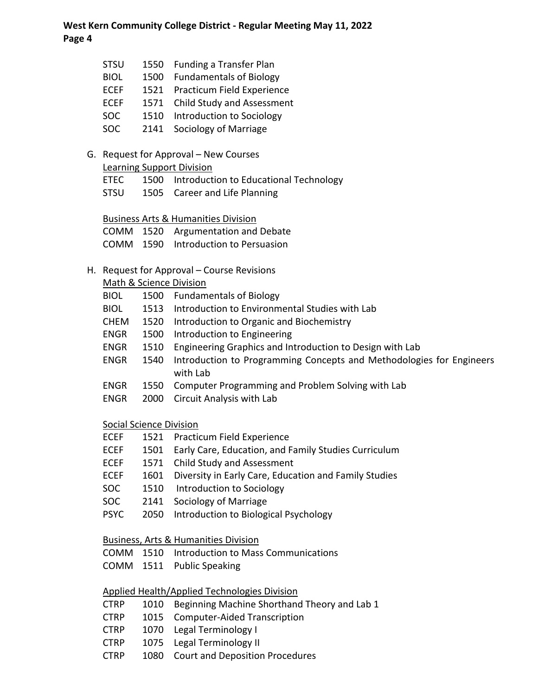|                                                     | <b>STSU</b>                                | 1550                                            | <b>Funding a Transfer Plan</b>                                       |  |  |  |  |  |
|-----------------------------------------------------|--------------------------------------------|-------------------------------------------------|----------------------------------------------------------------------|--|--|--|--|--|
|                                                     | <b>BIOL</b>                                | 1500                                            | <b>Fundamentals of Biology</b>                                       |  |  |  |  |  |
|                                                     | <b>ECEF</b>                                |                                                 | 1521 Practicum Field Experience                                      |  |  |  |  |  |
|                                                     | <b>ECEF</b>                                |                                                 | 1571 Child Study and Assessment                                      |  |  |  |  |  |
|                                                     | <b>SOC</b>                                 |                                                 | 1510 Introduction to Sociology                                       |  |  |  |  |  |
|                                                     | <b>SOC</b>                                 | 2141                                            | Sociology of Marriage                                                |  |  |  |  |  |
|                                                     |                                            |                                                 |                                                                      |  |  |  |  |  |
| G.                                                  | Request for Approval - New Courses         |                                                 |                                                                      |  |  |  |  |  |
|                                                     |                                            |                                                 | <b>Learning Support Division</b>                                     |  |  |  |  |  |
|                                                     | ETEC                                       |                                                 | 1500 Introduction to Educational Technology                          |  |  |  |  |  |
|                                                     | STSU                                       |                                                 | 1505 Career and Life Planning                                        |  |  |  |  |  |
|                                                     |                                            |                                                 |                                                                      |  |  |  |  |  |
|                                                     |                                            |                                                 | <b>Business Arts &amp; Humanities Division</b>                       |  |  |  |  |  |
|                                                     | COMM                                       |                                                 | 1520 Argumentation and Debate                                        |  |  |  |  |  |
|                                                     |                                            |                                                 | COMM 1590 Introduction to Persuasion                                 |  |  |  |  |  |
|                                                     | H. Request for Approval - Course Revisions |                                                 |                                                                      |  |  |  |  |  |
|                                                     |                                            |                                                 | Math & Science Division                                              |  |  |  |  |  |
|                                                     | <b>BIOL</b>                                |                                                 | 1500 Fundamentals of Biology                                         |  |  |  |  |  |
|                                                     | <b>BIOL</b>                                | 1513                                            | Introduction to Environmental Studies with Lab                       |  |  |  |  |  |
|                                                     | <b>CHEM</b>                                |                                                 | 1520 Introduction to Organic and Biochemistry                        |  |  |  |  |  |
|                                                     | <b>ENGR</b>                                | 1500                                            | Introduction to Engineering                                          |  |  |  |  |  |
|                                                     | <b>ENGR</b>                                | 1510                                            | Engineering Graphics and Introduction to Design with Lab             |  |  |  |  |  |
|                                                     | <b>ENGR</b>                                | 1540                                            | Introduction to Programming Concepts and Methodologies for Engineers |  |  |  |  |  |
|                                                     |                                            |                                                 | with Lab                                                             |  |  |  |  |  |
|                                                     | <b>ENGR</b>                                | 1550                                            | Computer Programming and Problem Solving with Lab                    |  |  |  |  |  |
|                                                     | <b>ENGR</b>                                | 2000                                            | Circuit Analysis with Lab                                            |  |  |  |  |  |
|                                                     | Social Science Division                    |                                                 |                                                                      |  |  |  |  |  |
|                                                     | <b>ECEF</b>                                | 1521                                            | Practicum Field Experience                                           |  |  |  |  |  |
|                                                     | <b>ECEF</b>                                | 1501                                            | Early Care, Education, and Family Studies Curriculum                 |  |  |  |  |  |
|                                                     | <b>ECEF</b>                                | 1571                                            | <b>Child Study and Assessment</b>                                    |  |  |  |  |  |
|                                                     | <b>ECEF</b>                                | 1601                                            | Diversity in Early Care, Education and Family Studies                |  |  |  |  |  |
|                                                     | <b>SOC</b>                                 | 1510                                            | Introduction to Sociology                                            |  |  |  |  |  |
|                                                     | <b>SOC</b>                                 | 2141                                            | Sociology of Marriage                                                |  |  |  |  |  |
|                                                     | <b>PSYC</b>                                | 2050                                            | Introduction to Biological Psychology                                |  |  |  |  |  |
|                                                     |                                            |                                                 |                                                                      |  |  |  |  |  |
|                                                     |                                            | <b>Business, Arts &amp; Humanities Division</b> |                                                                      |  |  |  |  |  |
|                                                     | <b>COMM</b>                                | 1510                                            | Introduction to Mass Communications                                  |  |  |  |  |  |
|                                                     | COMM                                       | 1511                                            | <b>Public Speaking</b>                                               |  |  |  |  |  |
|                                                     |                                            |                                                 |                                                                      |  |  |  |  |  |
| <b>Applied Health/Applied Technologies Division</b> |                                            |                                                 |                                                                      |  |  |  |  |  |
|                                                     | <b>CTRP</b>                                | 1010                                            | Beginning Machine Shorthand Theory and Lab 1                         |  |  |  |  |  |
|                                                     | <b>CTRP</b>                                | 1015                                            | <b>Computer-Aided Transcription</b>                                  |  |  |  |  |  |
|                                                     | <b>CTRP</b>                                | 1070                                            | Legal Terminology I                                                  |  |  |  |  |  |
|                                                     | <b>CTRP</b>                                | 1075                                            | Legal Terminology II                                                 |  |  |  |  |  |

CTRP 1080 Court and Deposition Procedures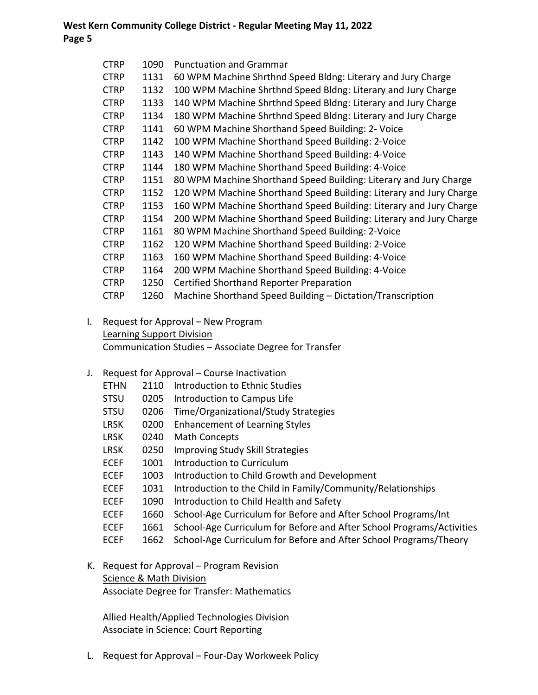| <b>CTRP</b> | 1090 | <b>Punctuation and Grammar</b>                                     |
|-------------|------|--------------------------------------------------------------------|
| <b>CTRP</b> | 1131 | 60 WPM Machine Shrthnd Speed Bldng: Literary and Jury Charge       |
| <b>CTRP</b> | 1132 | 100 WPM Machine Shrthnd Speed Bldng: Literary and Jury Charge      |
| <b>CTRP</b> | 1133 | 140 WPM Machine Shrthnd Speed Bldng: Literary and Jury Charge      |
| CTRP        | 1134 | 180 WPM Machine Shrthnd Speed Bldng: Literary and Jury Charge      |
| <b>CTRP</b> | 1141 | 60 WPM Machine Shorthand Speed Building: 2- Voice                  |
| <b>CTRP</b> | 1142 | 100 WPM Machine Shorthand Speed Building: 2-Voice                  |
| <b>CTRP</b> | 1143 | 140 WPM Machine Shorthand Speed Building: 4-Voice                  |
| <b>CTRP</b> | 1144 | 180 WPM Machine Shorthand Speed Building: 4-Voice                  |
| <b>CTRP</b> | 1151 | 80 WPM Machine Shorthand Speed Building: Literary and Jury Charge  |
| <b>CTRP</b> | 1152 | 120 WPM Machine Shorthand Speed Building: Literary and Jury Charge |
| <b>CTRP</b> | 1153 | 160 WPM Machine Shorthand Speed Building: Literary and Jury Charge |
| <b>CTRP</b> | 1154 | 200 WPM Machine Shorthand Speed Building: Literary and Jury Charge |
| <b>CTRP</b> | 1161 | 80 WPM Machine Shorthand Speed Building: 2-Voice                   |
| <b>CTRP</b> | 1162 | 120 WPM Machine Shorthand Speed Building: 2-Voice                  |
| <b>CTRP</b> | 1163 | 160 WPM Machine Shorthand Speed Building: 4-Voice                  |
| <b>CTRP</b> | 1164 | 200 WPM Machine Shorthand Speed Building: 4-Voice                  |
| <b>CTRP</b> | 1250 | Certified Shorthand Reporter Preparation                           |
| CTRP        | 1260 | Machine Shorthand Speed Building - Dictation/Transcription         |
|             |      |                                                                    |

I. Request for Approval – New Program Learning Support Division Communication Studies – Associate Degree for Transfer

#### J. Request for Approval – Course Inactivation

| <b>ETHN</b> | 2110 | Introduction to Ethnic Studies                                        |
|-------------|------|-----------------------------------------------------------------------|
| <b>STSU</b> | 0205 | Introduction to Campus Life                                           |
| <b>STSU</b> | 0206 | Time/Organizational/Study Strategies                                  |
| <b>LRSK</b> | 0200 | <b>Enhancement of Learning Styles</b>                                 |
| <b>LRSK</b> | 0240 | <b>Math Concepts</b>                                                  |
| <b>LRSK</b> | 0250 | Improving Study Skill Strategies                                      |
| <b>ECEF</b> | 1001 | Introduction to Curriculum                                            |
| <b>ECEF</b> | 1003 | Introduction to Child Growth and Development                          |
| <b>ECEF</b> | 1031 | Introduction to the Child in Family/Community/Relationships           |
| <b>ECEF</b> | 1090 | Introduction to Child Health and Safety                               |
| <b>ECEF</b> | 1660 | School-Age Curriculum for Before and After School Programs/Int        |
| <b>ECEF</b> | 1661 | School-Age Curriculum for Before and After School Programs/Activities |
| <b>ECEF</b> | 1662 | School-Age Curriculum for Before and After School Programs/Theory     |
|             |      |                                                                       |

K. Request for Approval – Program Revision

Science & Math Division

Associate Degree for Transfer: Mathematics

Allied Health/Applied Technologies Division Associate in Science: Court Reporting

L. Request for Approval – Four-Day Workweek Policy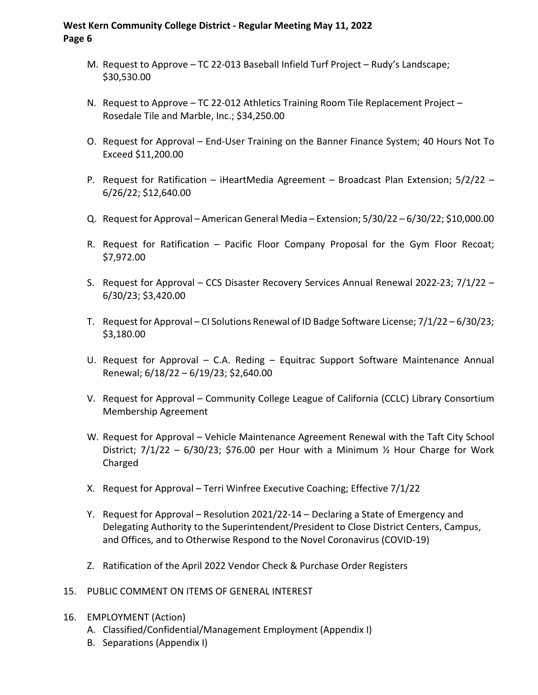- M. Request to Approve TC 22-013 Baseball Infield Turf Project Rudy's Landscape; \$30,530.00
- N. Request to Approve TC 22-012 Athletics Training Room Tile Replacement Project Rosedale Tile and Marble, Inc.; \$34,250.00
- O. Request for Approval End-User Training on the Banner Finance System; 40 Hours Not To Exceed \$11,200.00
- P. Request for Ratification iHeartMedia Agreement Broadcast Plan Extension; 5/2/22 6/26/22; \$12,640.00
- Q. Request for Approval American General Media Extension; 5/30/22 6/30/22; \$10,000.00
- R. Request for Ratification Pacific Floor Company Proposal for the Gym Floor Recoat; \$7,972.00
- S. Request for Approval CCS Disaster Recovery Services Annual Renewal 2022-23; 7/1/22 6/30/23; \$3,420.00
- T. Request for Approval CI Solutions Renewal of ID Badge Software License; 7/1/22 6/30/23; \$3,180.00
- U. Request for Approval C.A. Reding Equitrac Support Software Maintenance Annual Renewal; 6/18/22 – 6/19/23; \$2,640.00
- V. Request for Approval Community College League of California (CCLC) Library Consortium Membership Agreement
- W. Request for Approval Vehicle Maintenance Agreement Renewal with the Taft City School District;  $7/1/22 - 6/30/23$ ; \$76.00 per Hour with a Minimum  $\frac{1}{2}$  Hour Charge for Work Charged
- X. Request for Approval Terri Winfree Executive Coaching; Effective 7/1/22
- Y. Request for Approval Resolution 2021/22-14 Declaring a State of Emergency and Delegating Authority to the Superintendent/President to Close District Centers, Campus, and Offices, and to Otherwise Respond to the Novel Coronavirus (COVID-19)
- Z. Ratification of the April 2022 Vendor Check & Purchase Order Registers
- 15. PUBLIC COMMENT ON ITEMS OF GENERAL INTEREST
- 16. EMPLOYMENT (Action)
	- A. Classified/Confidential/Management Employment (Appendix I)
	- B. Separations (Appendix I)